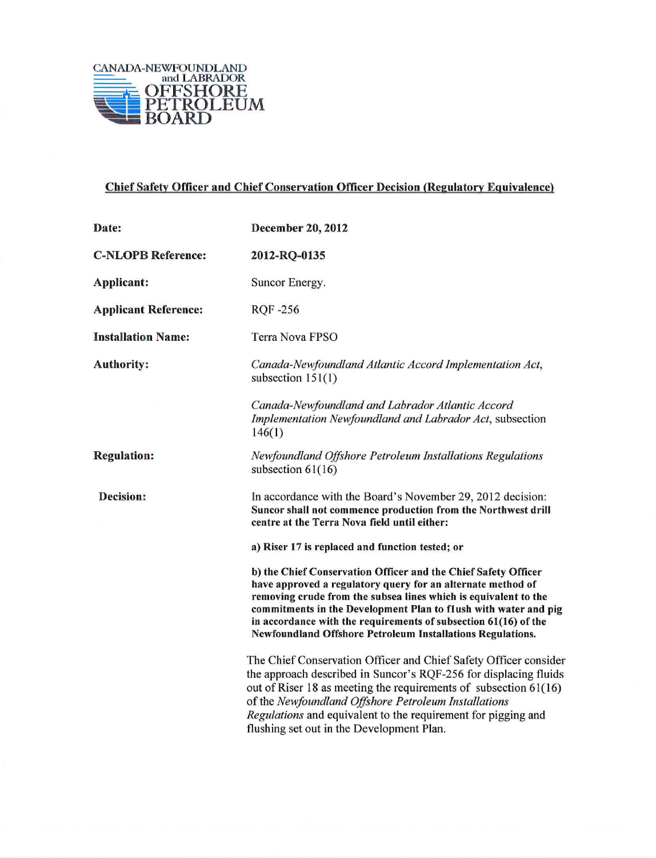

## Chief Safety Officer and Chief Conservation Officer Decision (Regulatorv Equivalence)

| Date:                       | <b>December 20, 2012</b>                                                                                                                                                                                                                                                                                                                                                                             |
|-----------------------------|------------------------------------------------------------------------------------------------------------------------------------------------------------------------------------------------------------------------------------------------------------------------------------------------------------------------------------------------------------------------------------------------------|
| <b>C-NLOPB Reference:</b>   | 2012-RQ-0135                                                                                                                                                                                                                                                                                                                                                                                         |
| Applicant:                  | Suncor Energy.                                                                                                                                                                                                                                                                                                                                                                                       |
| <b>Applicant Reference:</b> | <b>RQF-256</b>                                                                                                                                                                                                                                                                                                                                                                                       |
| <b>Installation Name:</b>   | Terra Nova FPSO                                                                                                                                                                                                                                                                                                                                                                                      |
| <b>Authority:</b>           | Canada-Newfoundland Atlantic Accord Implementation Act,<br>subsection $151(1)$                                                                                                                                                                                                                                                                                                                       |
|                             | Canada-Newfoundland and Labrador Atlantic Accord<br>Implementation Newfoundland and Labrador Act, subsection<br>146(1)                                                                                                                                                                                                                                                                               |
| <b>Regulation:</b>          | Newfoundland Offshore Petroleum Installations Regulations<br>subsection $61(16)$                                                                                                                                                                                                                                                                                                                     |
| <b>Decision:</b>            | In accordance with the Board's November 29, 2012 decision:<br>Suncor shall not commence production from the Northwest drill<br>centre at the Terra Nova field until either:                                                                                                                                                                                                                          |
|                             | a) Riser 17 is replaced and function tested; or                                                                                                                                                                                                                                                                                                                                                      |
|                             | b) the Chief Conservation Officer and the Chief Safety Officer<br>have approved a regulatory query for an alternate method of<br>removing crude from the subsea lines which is equivalent to the<br>commitments in the Development Plan to flush with water and pig<br>in accordance with the requirements of subsection 61(16) of the<br>Newfoundland Offshore Petroleum Installations Regulations. |
|                             | The Chief Conservation Officer and Chief Safety Officer conside<br>the approach described in Suncor's RQF-256 for displacing fluids<br>out of Riser 18 as meeting the requirements of subsection $61(16)$<br>of the Newfoundland Offshore Petroleum Installations<br>Regulations and equivalent to the requirement for pigging and<br>flushing set out in the Development Plan.                      |